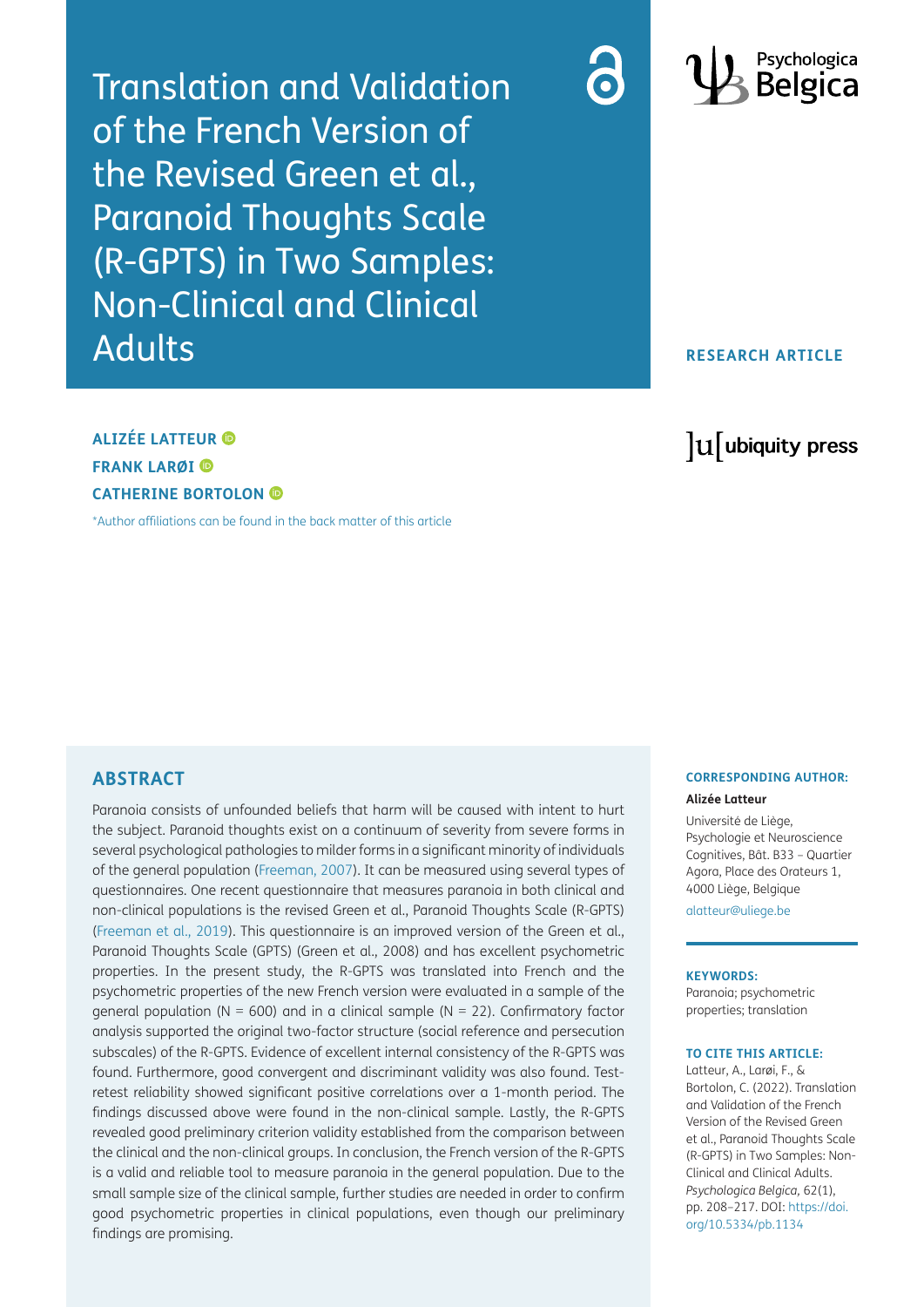Translation and Validation of the French Version of the Revised Green et al., Paranoid Thoughts Scale (R-GPTS) in Two Samples: Non-Clinical and Clinical Adults





# **RESEARCH ARTICLE**

# **ALIZÉE LATTEUR FRANK LARØI CATHERINE BORTOLON**

[\\*Author affiliations can be found in the back matter of this article](#page-7-2)

# lu ubiquity press

# **ABSTRACT**

Paranoia consists of unfounded beliefs that harm will be caused with intent to hurt the subject. Paranoid thoughts exist on a continuum of severity from severe forms in several psychological pathologies to milder forms in a significant minority of individuals of the general population ([Freeman, 2007](#page-7-0)). It can be measured using several types of questionnaires. One recent questionnaire that measures paranoia in both clinical and non-clinical populations is the revised Green et al., Paranoid Thoughts Scale (R-GPTS) [\(Freeman et al., 2019\)](#page-7-1). This questionnaire is an improved version of the Green et al., Paranoid Thoughts Scale (GPTS) (Green et al., 2008) and has excellent psychometric properties. In the present study, the R-GPTS was translated into French and the psychometric properties of the new French version were evaluated in a sample of the general population ( $N = 600$ ) and in a clinical sample ( $N = 22$ ). Confirmatory factor analysis supported the original two-factor structure (social reference and persecution subscales) of the R-GPTS. Evidence of excellent internal consistency of the R-GPTS was found. Furthermore, good convergent and discriminant validity was also found. Testretest reliability showed significant positive correlations over a 1-month period. The findings discussed above were found in the non-clinical sample. Lastly, the R-GPTS revealed good preliminary criterion validity established from the comparison between the clinical and the non-clinical groups. In conclusion, the French version of the R-GPTS is a valid and reliable tool to measure paranoia in the general population. Due to the small sample size of the clinical sample, further studies are needed in order to confirm good psychometric properties in clinical populations, even though our preliminary findings are promising.

#### **CORRESPONDING AUTHOR:**

#### **Alizée Latteur**

Université de Liège, Psychologie et Neuroscience Cognitives, Bât. B33 – Quartier Agora, Place des Orateurs 1, 4000 Liège, Belgique

[alatteur@uliege.be](mailto:alatteur@uliege.be)

#### **KEYWORDS:**

Paranoia; psychometric properties; translation

#### **TO CITE THIS ARTICLE:**

Latteur, A., Larøi, F., & Bortolon, C. (2022). Translation and Validation of the French Version of the Revised Green et al., Paranoid Thoughts Scale (R-GPTS) in Two Samples: Non-Clinical and Clinical Adults. *Psychologica Belgica,* 62(1), pp. 208–217. DOI: [https://doi.](https://doi.org/10.5334/pb.1134) [org/10.5334/pb.1134](https://doi.org/10.5334/pb.1134)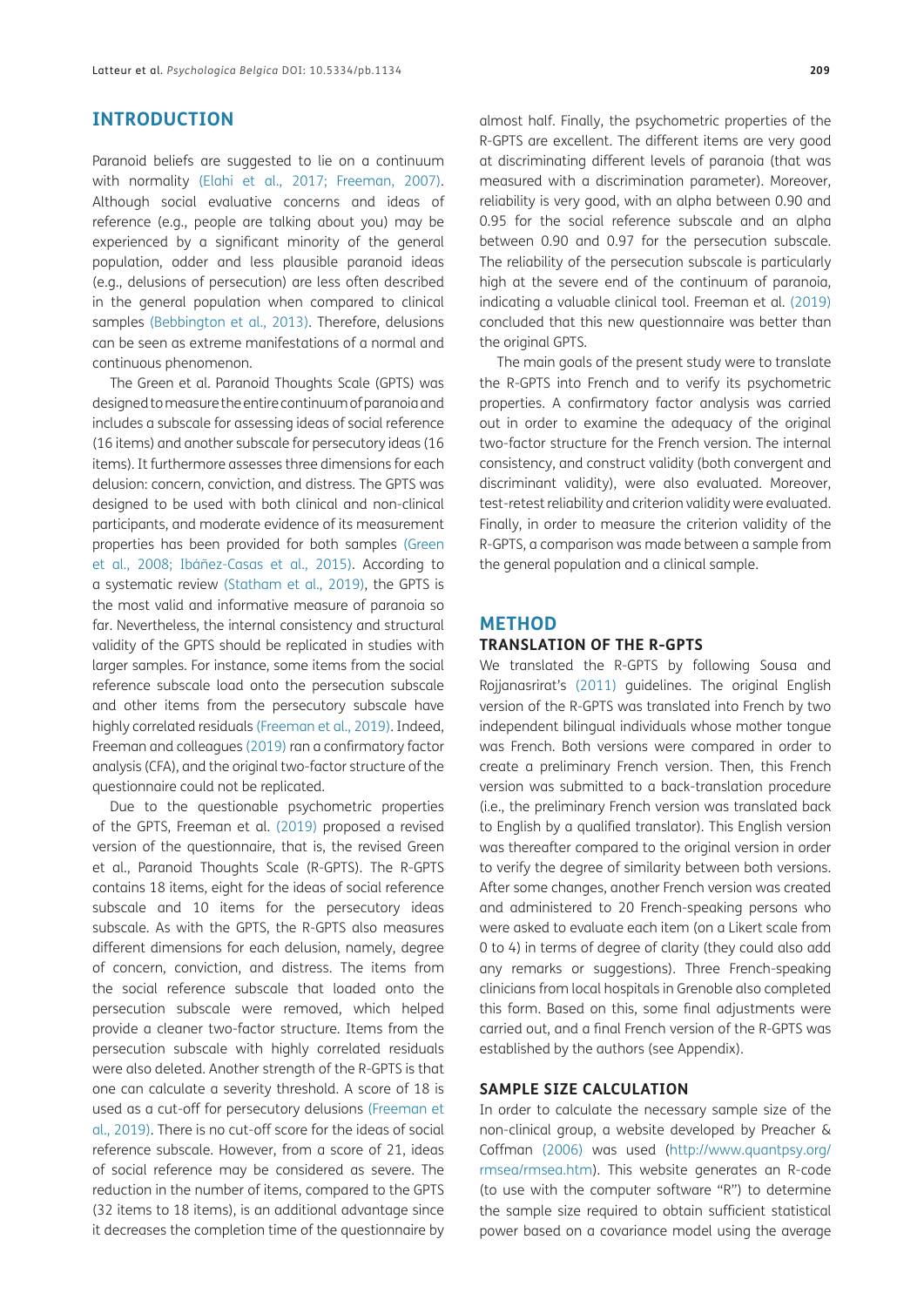## **INTRODUCTION**

Paranoid beliefs are suggested to lie on a continuum with normality [\(Elahi et al., 2017;](#page-7-3) [Freeman, 2007](#page-7-0)). Although social evaluative concerns and ideas of reference (e.g., people are talking about you) may be experienced by a significant minority of the general population, odder and less plausible paranoid ideas (e.g., delusions of persecution) are less often described in the general population when compared to clinical samples (Bebbington et al., 2013). Therefore, delusions can be seen as extreme manifestations of a normal and continuous phenomenon.

The Green et al. Paranoid Thoughts Scale (GPTS) was designed to measure the entire continuum of paranoia and includes a subscale for assessing ideas of social reference (16 items) and another subscale for persecutory ideas (16 items). It furthermore assesses three dimensions for each delusion: concern, conviction, and distress. The GPTS was designed to be used with both clinical and non-clinical participants, and moderate evidence of its measurement properties has been provided for both samples ([Green](#page-7-4) [et al., 2008](#page-7-4); Ibáñez-Casas et al., 2015). According to a systematic review [\(Statham et al., 2019](#page-8-0)), the GPTS is the most valid and informative measure of paranoia so far. Nevertheless, the internal consistency and structural validity of the GPTS should be replicated in studies with larger samples. For instance, some items from the social reference subscale load onto the persecution subscale and other items from the persecutory subscale have highly correlated residuals [\(Freeman et al., 2019\)](#page-7-1). Indeed, Freeman and colleagues [\(2019\)](#page-7-1) ran a confirmatory factor analysis (CFA), and the original two-factor structure of the questionnaire could not be replicated.

Due to the questionable psychometric properties of the GPTS, Freeman et al. [\(2019\)](#page-7-1) proposed a revised version of the questionnaire, that is, the revised Green et al., Paranoid Thoughts Scale (R-GPTS). The R-GPTS contains 18 items, eight for the ideas of social reference subscale and 10 items for the persecutory ideas subscale. As with the GPTS, the R-GPTS also measures different dimensions for each delusion, namely, degree of concern, conviction, and distress. The items from the social reference subscale that loaded onto the persecution subscale were removed, which helped provide a cleaner two-factor structure. Items from the persecution subscale with highly correlated residuals were also deleted. Another strength of the R-GPTS is that one can calculate a severity threshold. A score of 18 is used as a cut-off for persecutory delusions [\(Freeman et](#page-7-1) [al., 2019](#page-7-1)). There is no cut-off score for the ideas of social reference subscale. However, from a score of 21, ideas of social reference may be considered as severe. The reduction in the number of items, compared to the GPTS (32 items to 18 items), is an additional advantage since it decreases the completion time of the questionnaire by

almost half. Finally, the psychometric properties of the R-GPTS are excellent. The different items are very good at discriminating different levels of paranoia (that was measured with a discrimination parameter). Moreover, reliability is very good, with an alpha between 0.90 and 0.95 for the social reference subscale and an alpha between 0.90 and 0.97 for the persecution subscale. The reliability of the persecution subscale is particularly high at the severe end of the continuum of paranoia, indicating a valuable clinical tool. Freeman et al. [\(2019\)](#page-7-1) concluded that this new questionnaire was better than the original GPTS.

The main goals of the present study were to translate the R-GPTS into French and to verify its psychometric properties. A confirmatory factor analysis was carried out in order to examine the adequacy of the original two-factor structure for the French version. The internal consistency, and construct validity (both convergent and discriminant validity), were also evaluated. Moreover, test-retest reliability and criterion validity were evaluated. Finally, in order to measure the criterion validity of the R-GPTS, a comparison was made between a sample from the general population and a clinical sample.

#### **METHOD**

#### **TRANSLATION OF THE R-GPTS**

We translated the R-GPTS by following Sousa and Rojjanasrirat's [\(2011\)](#page-8-1) guidelines. The original English version of the R-GPTS was translated into French by two independent bilingual individuals whose mother tongue was French. Both versions were compared in order to create a preliminary French version. Then, this French version was submitted to a back-translation procedure (i.e., the preliminary French version was translated back to English by a qualified translator). This English version was thereafter compared to the original version in order to verify the degree of similarity between both versions. After some changes, another French version was created and administered to 20 French-speaking persons who were asked to evaluate each item (on a Likert scale from 0 to 4) in terms of degree of clarity (they could also add any remarks or suggestions). Three French-speaking clinicians from local hospitals in Grenoble also completed this form. Based on this, some final adjustments were carried out, and a final French version of the R-GPTS was established by the authors (see Appendix).

#### **SAMPLE SIZE CALCULATION**

In order to calculate the necessary sample size of the non-clinical group, a website developed by Preacher & Coffman [\(2006\)](#page-8-2) was used ([http://www.quantpsy.org/](http://www.quantpsy.org/rmsea/rmsea.htm) [rmsea/rmsea.htm\)](http://www.quantpsy.org/rmsea/rmsea.htm). This website generates an R-code (to use with the computer software "R") to determine the sample size required to obtain sufficient statistical power based on a covariance model using the average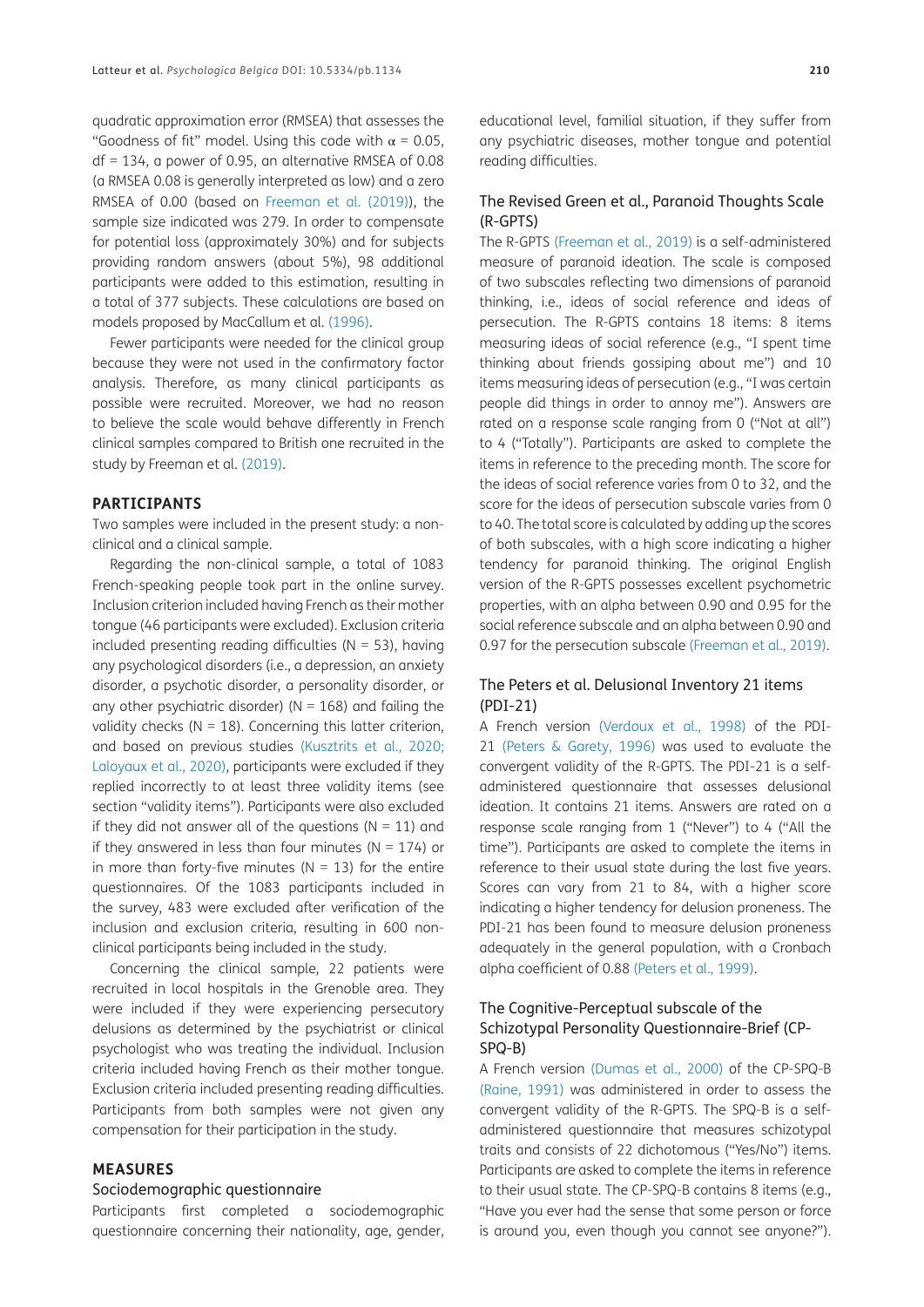quadratic approximation error (RMSEA) that assesses the "Goodness of fit" model. Using this code with  $\alpha$  = 0.05, df = 134, a power of 0.95, an alternative RMSEA of 0.08 (a RMSEA 0.08 is generally interpreted as low) and a zero RMSEA of 0.00 (based on [Freeman et al. \(2019\)\)](#page-7-1), the sample size indicated was 279. In order to compensate for potential loss (approximately 30%) and for subjects providing random answers (about 5%), 98 additional participants were added to this estimation, resulting in a total of 377 subjects. These calculations are based on models proposed by MacCallum et al. [\(1996\)](#page-8-3).

Fewer participants were needed for the clinical group because they were not used in the confirmatory factor analysis. Therefore, as many clinical participants as possible were recruited. Moreover, we had no reason to believe the scale would behave differently in French clinical samples compared to British one recruited in the study by Freeman et al. [\(2019\)](#page-7-1).

#### **PARTICIPANTS**

Two samples were included in the present study: a nonclinical and a clinical sample.

Regarding the non-clinical sample, a total of 1083 French-speaking people took part in the online survey. Inclusion criterion included having French as their mother tongue (46 participants were excluded). Exclusion criteria included presenting reading difficulties ( $N = 53$ ), having any psychological disorders (i.e., a depression, an anxiety disorder, a psychotic disorder, a personality disorder, or any other psychiatric disorder) ( $N = 168$ ) and failing the validity checks ( $N = 18$ ). Concerning this latter criterion, and based on previous studies (Kusztrits et al., 2020; Laloyaux et al., 2020), participants were excluded if they replied incorrectly to at least three validity items (see section "validity items"). Participants were also excluded if they did not answer all of the questions ( $N = 11$ ) and if they answered in less than four minutes ( $N = 174$ ) or in more than forty-five minutes ( $N = 13$ ) for the entire questionnaires. Of the 1083 participants included in the survey, 483 were excluded after verification of the inclusion and exclusion criteria, resulting in 600 nonclinical participants being included in the study.

Concerning the clinical sample, 22 patients were recruited in local hospitals in the Grenoble area. They were included if they were experiencing persecutory delusions as determined by the psychiatrist or clinical psychologist who was treating the individual. Inclusion criteria included having French as their mother tongue. Exclusion criteria included presenting reading difficulties. Participants from both samples were not given any compensation for their participation in the study.

#### **MEASURES**

#### Sociodemographic questionnaire

Participants first completed a sociodemographic questionnaire concerning their nationality, age, gender, educational level, familial situation, if they suffer from any psychiatric diseases, mother tongue and potential reading difficulties.

#### The Revised Green et al., Paranoid Thoughts Scale (R-GPTS)

The R-GPTS ([Freeman et al., 2019](#page-7-1)) is a self-administered measure of paranoid ideation. The scale is composed of two subscales reflecting two dimensions of paranoid thinking, i.e., ideas of social reference and ideas of persecution. The R-GPTS contains 18 items: 8 items measuring ideas of social reference (e.g., "I spent time thinking about friends gossiping about me") and 10 items measuring ideas of persecution (e.g., "I was certain people did things in order to annoy me"). Answers are rated on a response scale ranging from 0 ("Not at all") to 4 ("Totally"). Participants are asked to complete the items in reference to the preceding month. The score for the ideas of social reference varies from 0 to 32, and the score for the ideas of persecution subscale varies from 0 to 40. The total score is calculated by adding up the scores of both subscales, with a high score indicating a higher tendency for paranoid thinking. The original English version of the R-GPTS possesses excellent psychometric properties, with an alpha between 0.90 and 0.95 for the social reference subscale and an alpha between 0.90 and 0.97 for the persecution subscale [\(Freeman et al., 2019\)](#page-7-1).

#### The Peters et al. Delusional Inventory 21 items (PDI-21)

A French version ([Verdoux et al., 1998](#page-8-4)) of the PDI-21 ([Peters & Garety, 1996\)](#page-8-5) was used to evaluate the convergent validity of the R-GPTS. The PDI-21 is a selfadministered questionnaire that assesses delusional ideation. It contains 21 items. Answers are rated on a response scale ranging from 1 ("Never") to 4 ("All the time"). Participants are asked to complete the items in reference to their usual state during the last five years. Scores can vary from 21 to 84, with a higher score indicating a higher tendency for delusion proneness. The PDI-21 has been found to measure delusion proneness adequately in the general population, with a Cronbach alpha coefficient of 0.88 [\(Peters et al., 1999](#page-8-6)).

### The Cognitive-Perceptual subscale of the Schizotypal Personality Questionnaire-Brief (CP-SPQ-B)

A French version (Dumas et al., 2000) of the CP-SPQ-B ([Raine, 1991\)](#page-8-7) was administered in order to assess the convergent validity of the R-GPTS. The SPQ-B is a selfadministered questionnaire that measures schizotypal traits and consists of 22 dichotomous ("Yes/No") items. Participants are asked to complete the items in reference to their usual state. The CP-SPQ-B contains 8 items (e.g., "Have you ever had the sense that some person or force is around you, even though you cannot see anyone?").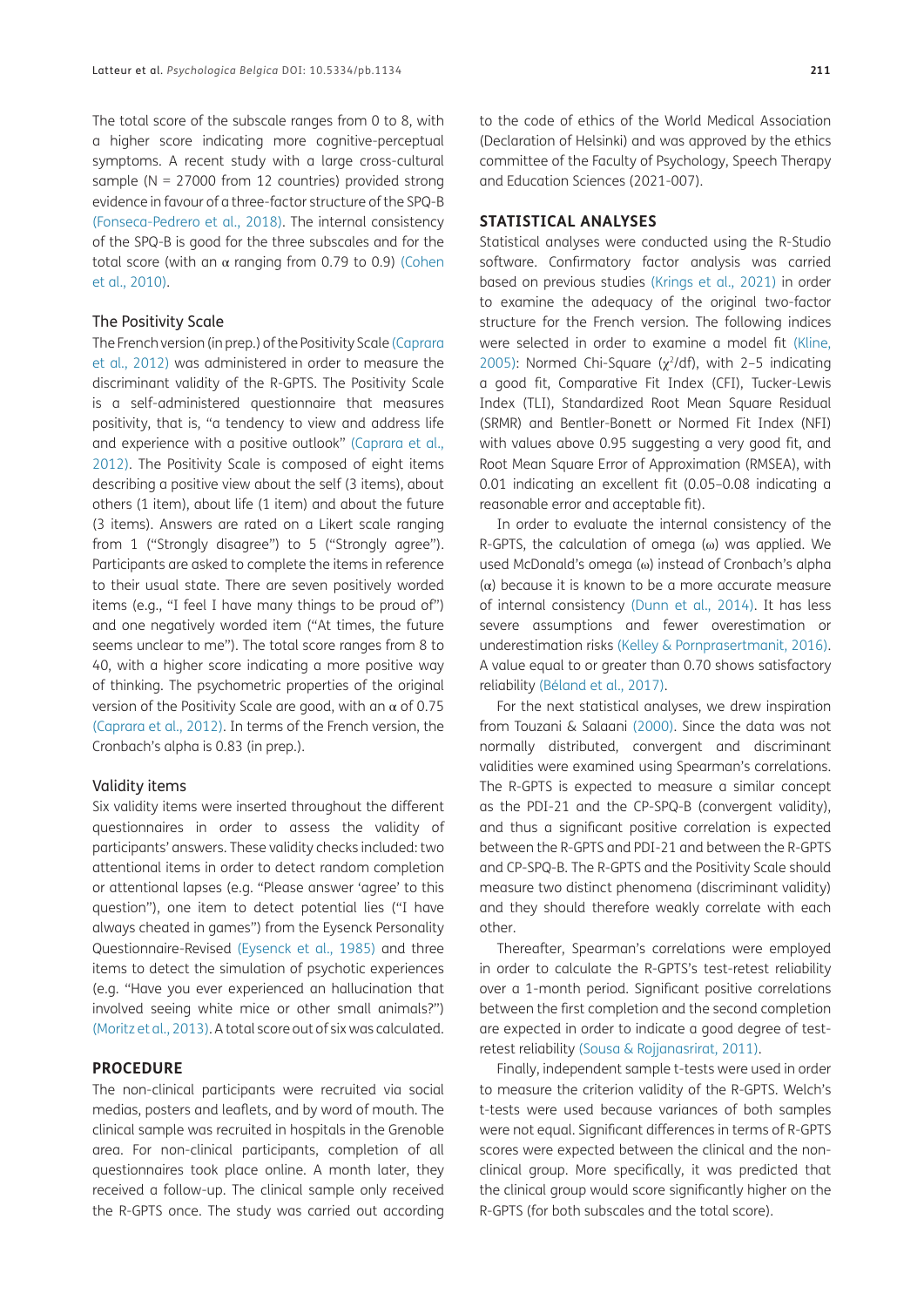The total score of the subscale ranges from 0 to 8, with a higher score indicating more cognitive-perceptual symptoms. A recent study with a large cross-cultural sample ( $N = 27000$  from 12 countries) provided strong evidence in favour of a three-factor structure of the SPQ-B (Fonseca-Pedrero et al., 2018). The internal consistency of the SPQ-B is good for the three subscales and for the total score (with an  $\alpha$  ranging from 0.79 to 0.9) [\(Cohen](#page-7-5) [et al., 2010](#page-7-5)).

#### The Positivity Scale

The French version (in prep.) of the Positivity Scale [\(Caprara](#page-7-6) [et al., 2012](#page-7-6)) was administered in order to measure the discriminant validity of the R-GPTS. The Positivity Scale is a self-administered questionnaire that measures positivity, that is, "a tendency to view and address life and experience with a positive outlook" ([Caprara et al.,](#page-7-6) [2012](#page-7-6)). The Positivity Scale is composed of eight items describing a positive view about the self (3 items), about others (1 item), about life (1 item) and about the future (3 items). Answers are rated on a Likert scale ranging from 1 ("Strongly disagree") to 5 ("Strongly agree"). Participants are asked to complete the items in reference to their usual state. There are seven positively worded items (e.g., "I feel I have many things to be proud of") and one negatively worded item ("At times, the future seems unclear to me"). The total score ranges from 8 to 40, with a higher score indicating a more positive way of thinking. The psychometric properties of the original version of the Positivity Scale are good, with an  $\alpha$  of 0.75 [\(Caprara et al., 2012\)](#page-7-6). In terms of the French version, the Cronbach's alpha is 0.83 (in prep.).

#### Validity items

Six validity items were inserted throughout the different questionnaires in order to assess the validity of participants' answers. These validity checks included: two attentional items in order to detect random completion or attentional lapses (e.g. "Please answer 'agree' to this question"), one item to detect potential lies ("I have always cheated in games") from the Eysenck Personality Questionnaire-Revised ([Eysenck et al., 1985](#page-7-7)) and three items to detect the simulation of psychotic experiences (e.g. "Have you ever experienced an hallucination that involved seeing white mice or other small animals?") (Moritz et al., 2013). A total score out of six was calculated.

#### **PROCEDURE**

The non-clinical participants were recruited via social medias, posters and leaflets, and by word of mouth. The clinical sample was recruited in hospitals in the Grenoble area. For non-clinical participants, completion of all questionnaires took place online. A month later, they received a follow-up. The clinical sample only received the R-GPTS once. The study was carried out according to the code of ethics of the World Medical Association (Declaration of Helsinki) and was approved by the ethics committee of the Faculty of Psychology, Speech Therapy and Education Sciences (2021-007).

#### **STATISTICAL ANALYSES**

Statistical analyses were conducted using the R-Studio software. Confirmatory factor analysis was carried based on previous studies [\(Krings et al., 2021](#page-8-8)) in order to examine the adequacy of the original two-factor structure for the French version. The following indices were selected in order to examine a model fit [\(Kline,](#page-8-9)  [2005\)](#page-8-9): Normed Chi-Square ( $\chi^2$ /df), with 2-5 indicating a good fit, Comparative Fit Index (CFI), Tucker-Lewis Index (TLI), Standardized Root Mean Square Residual (SRMR) and Bentler-Bonett or Normed Fit Index (NFI) with values above 0.95 suggesting a very good fit, and Root Mean Square Error of Approximation (RMSEA), with 0.01 indicating an excellent fit (0.05–0.08 indicating a reasonable error and acceptable fit).

In order to evaluate the internal consistency of the R-GPTS, the calculation of omega (ω) was applied. We used McDonald's omega (ω) instead of Cronbach's alpha  $(\alpha)$  because it is known to be a more accurate measure of internal consistency ([Dunn et al., 2014\)](#page-7-8). It has less severe assumptions and fewer overestimation or underestimation risks ([Kelley & Pornprasertmanit, 2016\)](#page-8-10). A value equal to or greater than 0.70 shows satisfactory reliability (Béland et al., 2017).

For the next statistical analyses, we drew inspiration from Touzani & Salaani (2000). Since the data was not normally distributed, convergent and discriminant validities were examined using Spearman's correlations. The R-GPTS is expected to measure a similar concept as the PDI-21 and the CP-SPQ-B (convergent validity), and thus a significant positive correlation is expected between the R-GPTS and PDI-21 and between the R-GPTS and CP-SPQ-B. The R-GPTS and the Positivity Scale should measure two distinct phenomena (discriminant validity) and they should therefore weakly correlate with each other.

Thereafter, Spearman's correlations were employed in order to calculate the R-GPTS's test-retest reliability over a 1-month period. Significant positive correlations between the first completion and the second completion are expected in order to indicate a good degree of testretest reliability ([Sousa & Rojjanasrirat, 2011\)](#page-8-1).

Finally, independent sample t-tests were used in order to measure the criterion validity of the R-GPTS. Welch's t-tests were used because variances of both samples were not equal. Significant differences in terms of R-GPTS scores were expected between the clinical and the nonclinical group. More specifically, it was predicted that the clinical group would score significantly higher on the R-GPTS (for both subscales and the total score).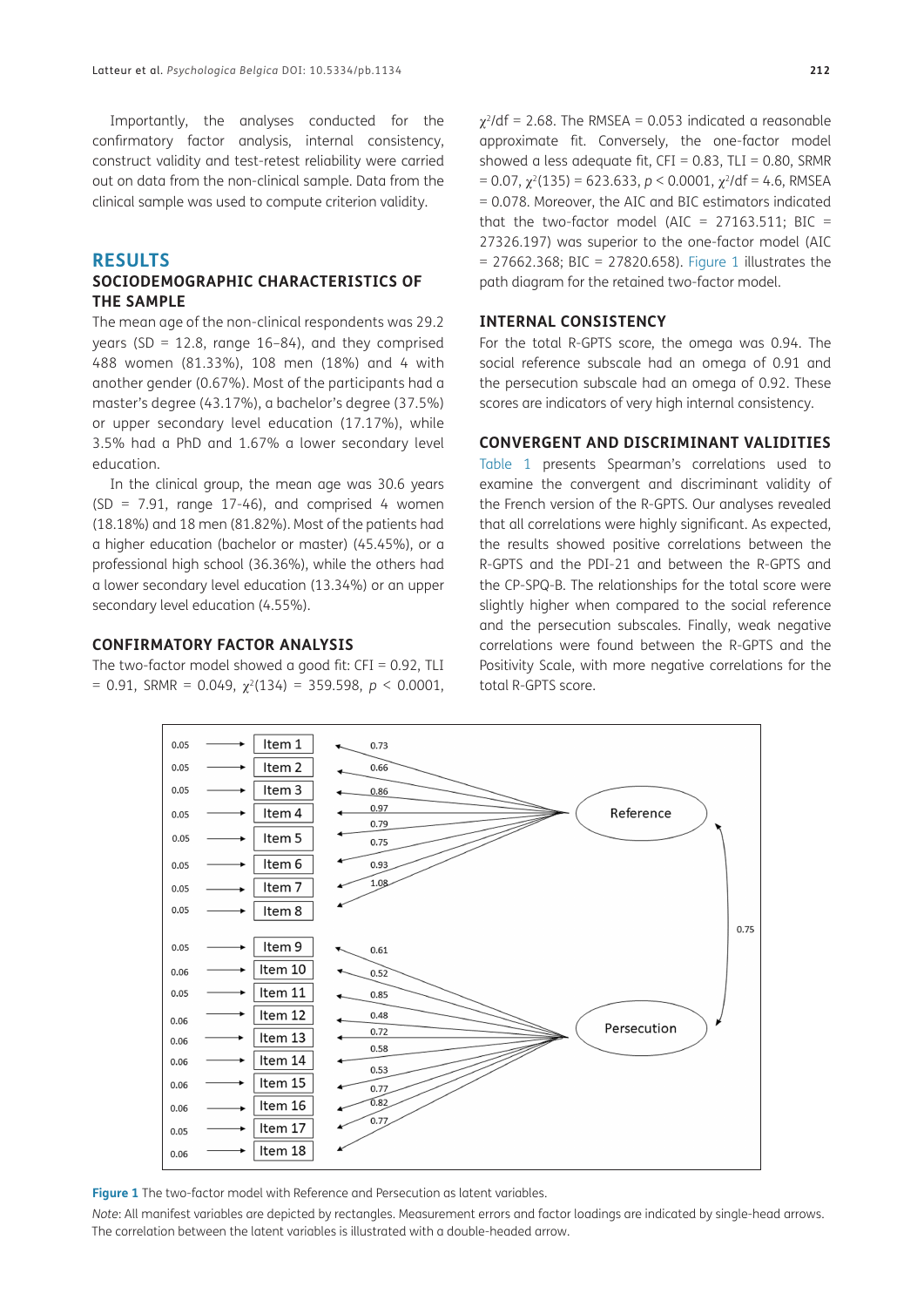Importantly, the analyses conducted for the confirmatory factor analysis, internal consistency, construct validity and test-retest reliability were carried out on data from the non-clinical sample. Data from the clinical sample was used to compute criterion validity.

#### **RESULTS**

#### **SOCIODEMOGRAPHIC CHARACTERISTICS OF THE SAMPLE**

The mean age of the non-clinical respondents was 29.2 years (SD = 12.8, range 16-84), and they comprised 488 women (81.33%), 108 men (18%) and 4 with another gender (0.67%). Most of the participants had a master's degree (43.17%), a bachelor's degree (37.5%) or upper secondary level education (17.17%), while 3.5% had a PhD and 1.67% a lower secondary level education.

In the clinical group, the mean age was 30.6 years  $(SD = 7.91$ , range 17-46), and comprised 4 women (18.18%) and 18 men (81.82%). Most of the patients had a higher education (bachelor or master) (45.45%), or a professional high school (36.36%), while the others had a lower secondary level education (13.34%) or an upper secondary level education (4.55%).

#### **CONFIRMATORY FACTOR ANALYSIS**

The two-factor model showed a good fit:  $CFI = 0.92$ , TLI  $= 0.91$ , SRMR = 0.049,  $\chi^2(134) = 359.598$ ,  $p < 0.0001$ ,

 $\chi^2$ /df = 2.68. The RMSEA = 0.053 indicated a reasonable approximate fit. Conversely, the one-factor model showed a less adequate fit,  $CFI = 0.83$ ,  $TLI = 0.80$ , SRMR  $= 0.07$ ,  $\gamma^2(135) = 623.633$ ,  $p < 0.0001$ ,  $\gamma^2/df = 4.6$ , RMSEA = 0.078. Moreover, the AIC and BIC estimators indicated that the two-factor model (AIC =  $27163.511$ ; BIC = 27326.197) was superior to the one-factor model (AIC  $= 27662.368$ ; BIC = 27820.658). [Figure 1](#page-4-0) illustrates the path diagram for the retained two-factor model.

#### **INTERNAL CONSISTENCY**

For the total R-GPTS score, the omega was 0.94. The social reference subscale had an omega of 0.91 and the persecution subscale had an omega of 0.92. These scores are indicators of very high internal consistency.

#### **CONVERGENT AND DISCRIMINANT VALIDITIES**

[Table 1](#page-5-0) presents Spearman's correlations used to examine the convergent and discriminant validity of the French version of the R-GPTS. Our analyses revealed that all correlations were highly significant. As expected, the results showed positive correlations between the R-GPTS and the PDI-21 and between the R-GPTS and the CP-SPQ-B. The relationships for the total score were slightly higher when compared to the social reference and the persecution subscales. Finally, weak negative correlations were found between the R-GPTS and the Positivity Scale, with more negative correlations for the total R-GPTS score.



<span id="page-4-0"></span>*Note*: All manifest variables are depicted by rectangles. Measurement errors and factor loadings are indicated by single-head arrows. The correlation between the latent variables is illustrated with a double-headed arrow.

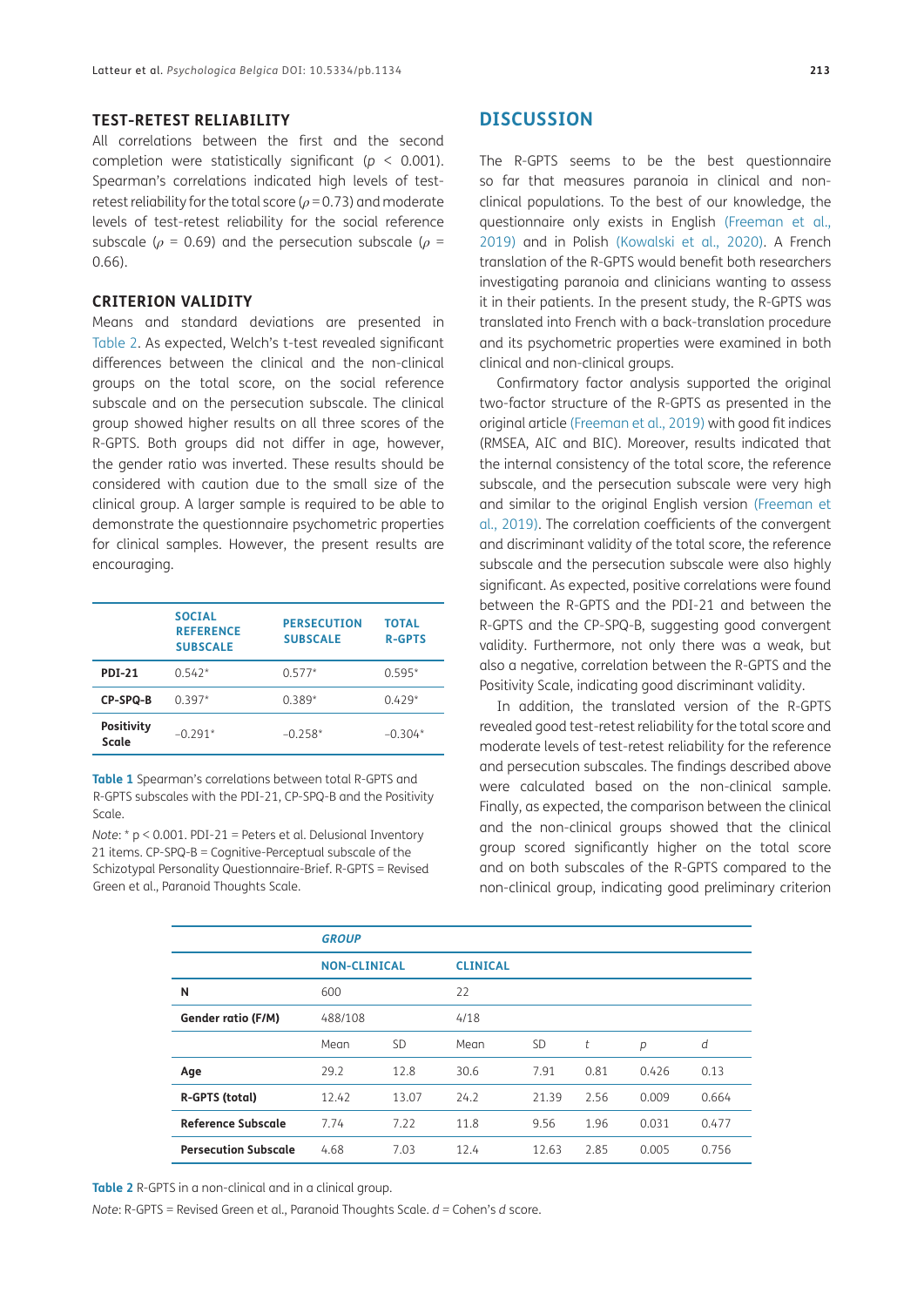#### **TEST-RETEST RELIABILITY**

All correlations between the first and the second completion were statistically significant (*p* < 0.001). Spearman's correlations indicated high levels of testretest reliability for the total score (*ρ* = 0.73) and moderate levels of test-retest reliability for the social reference subscale ( $\rho$  = 0.69) and the persecution subscale ( $\rho$  = 0.66).

#### **CRITERION VALIDITY**

Means and standard deviations are presented in [Table 2.](#page-5-1) As expected, Welch's t-test revealed significant differences between the clinical and the non-clinical groups on the total score, on the social reference subscale and on the persecution subscale. The clinical group showed higher results on all three scores of the R-GPTS. Both groups did not differ in age, however, the gender ratio was inverted. These results should be considered with caution due to the small size of the clinical group. A larger sample is required to be able to demonstrate the questionnaire psychometric properties for clinical samples. However, the present results are encouraging.

|                            | <b>SOCIAL</b><br><b>REFERENCE</b><br><b>SUBSCALE</b> | <b>PERSECUTION</b><br><b>SUBSCALE</b> | <b>TOTAL</b><br><b>R-GPTS</b> |
|----------------------------|------------------------------------------------------|---------------------------------------|-------------------------------|
| <b>PDI-21</b>              | $0.542*$                                             | $0.577*$                              | $0.595*$                      |
| CP-SPQ-B                   | $0.397*$                                             | $0.389*$                              | $0.429*$                      |
| <b>Positivity</b><br>Scale | $-0.291*$                                            | $-0.258*$                             | $-0.304*$                     |

<span id="page-5-0"></span>**Table 1** Spearman's correlations between total R-GPTS and R-GPTS subscales with the PDI-21, CP-SPQ-B and the Positivity Scale.

*Note*: \* p < 0.001. PDI-21 = Peters et al. Delusional Inventory 21 items. CP-SPQ-B = Cognitive-Perceptual subscale of the Schizotypal Personality Questionnaire-Brief. R-GPTS = Revised Green et al., Paranoid Thoughts Scale.

The R-GPTS seems to be the best questionnaire so far that measures paranoia in clinical and nonclinical populations. To the best of our knowledge, the questionnaire only exists in English ([Freeman et al.,](#page-7-1)  [2019\)](#page-7-1) and in Polish ([Kowalski et al., 2020](#page-8-11)). A French translation of the R-GPTS would benefit both researchers investigating paranoia and clinicians wanting to assess it in their patients. In the present study, the R-GPTS was translated into French with a back-translation procedure and its psychometric properties were examined in both clinical and non-clinical groups.

Confirmatory factor analysis supported the original two-factor structure of the R-GPTS as presented in the original article [\(Freeman et al., 2019](#page-7-1)) with good fit indices (RMSEA, AIC and BIC). Moreover, results indicated that the internal consistency of the total score, the reference subscale, and the persecution subscale were very high and similar to the original English version ([Freeman et](#page-7-1)  [al., 2019\)](#page-7-1). The correlation coefficients of the convergent and discriminant validity of the total score, the reference subscale and the persecution subscale were also highly significant. As expected, positive correlations were found between the R-GPTS and the PDI-21 and between the R-GPTS and the CP-SPQ-B, suggesting good convergent validity. Furthermore, not only there was a weak, but also a negative, correlation between the R-GPTS and the Positivity Scale, indicating good discriminant validity.

In addition, the translated version of the R-GPTS revealed good test-retest reliability for the total score and moderate levels of test-retest reliability for the reference and persecution subscales. The findings described above were calculated based on the non-clinical sample. Finally, as expected, the comparison between the clinical and the non-clinical groups showed that the clinical group scored significantly higher on the total score and on both subscales of the R-GPTS compared to the non-clinical group, indicating good preliminary criterion

|                             | <b>GROUP</b>        |           |                 |           |      |       |       |
|-----------------------------|---------------------|-----------|-----------------|-----------|------|-------|-------|
|                             | <b>NON-CLINICAL</b> |           | <b>CLINICAL</b> |           |      |       |       |
| N                           | 600                 |           | 22              |           |      |       |       |
| Gender ratio (F/M)          | 488/108             |           | 4/18            |           |      |       |       |
|                             | Mean                | <b>SD</b> | Mean            | <b>SD</b> | t    | p     | d     |
| Age                         | 29.2                | 12.8      | 30.6            | 7.91      | 0.81 | 0.426 | 0.13  |
| R-GPTS (total)              | 12.42               | 13.07     | 24.2            | 21.39     | 2.56 | 0.009 | 0.664 |
| <b>Reference Subscale</b>   | 7.74                | 7.22      | 11.8            | 9.56      | 1.96 | 0.031 | 0.477 |
| <b>Persecution Subscale</b> | 4.68                | 7.03      | 12.4            | 12.63     | 2.85 | 0.005 | 0.756 |

<span id="page-5-1"></span>**Table 2** R-GPTS in a non-clinical and in a clinical group.

*Note*: R-GPTS = Revised Green et al., Paranoid Thoughts Scale. *d =* Cohen's *d* score.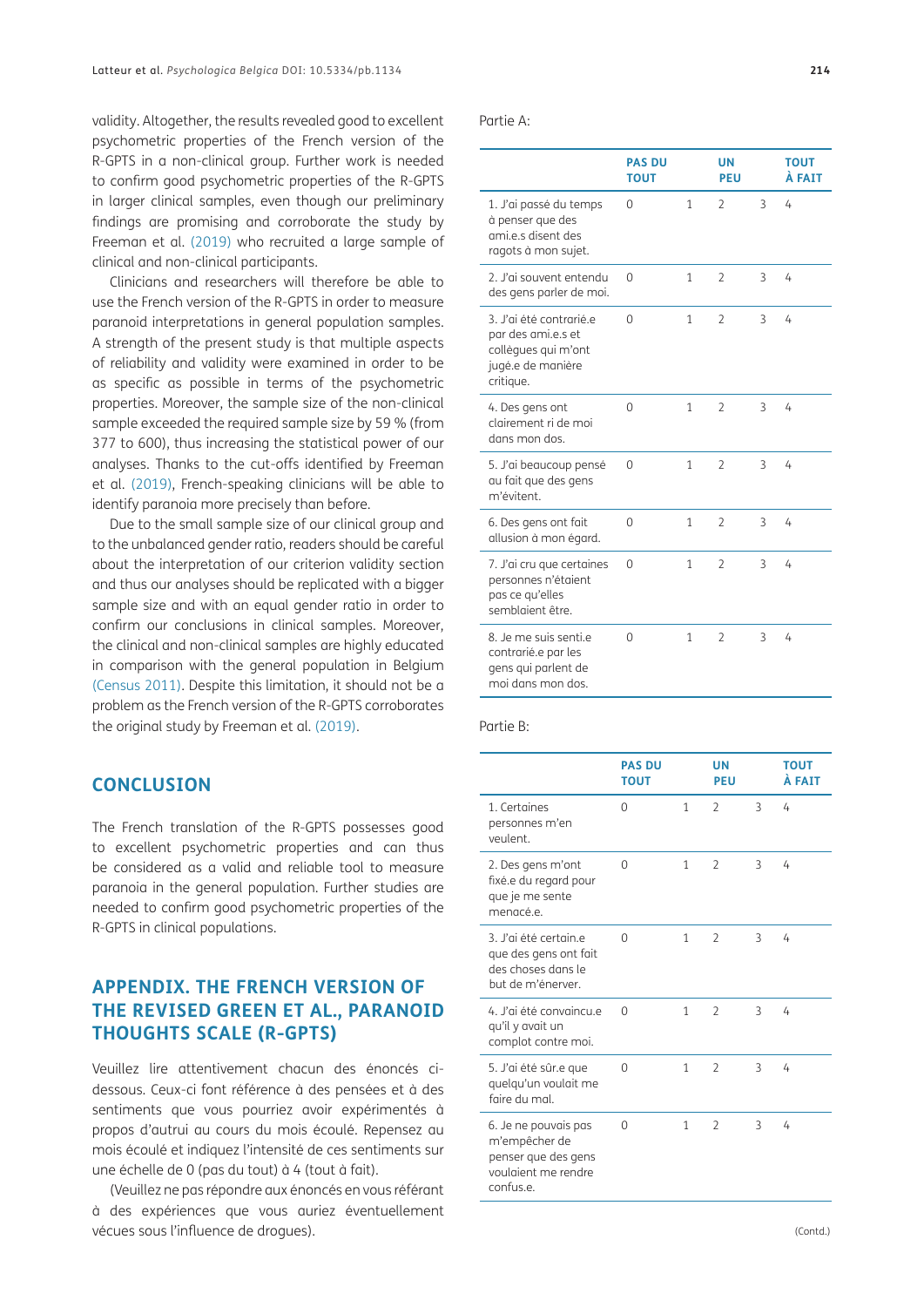validity. Altogether, the results revealed good to excellent psychometric properties of the French version of the R-GPTS in a non-clinical group. Further work is needed to confirm good psychometric properties of the R-GPTS in larger clinical samples, even though our preliminary findings are promising and corroborate the study by Freeman et al. [\(2019\)](#page-7-1) who recruited a large sample of clinical and non-clinical participants.

Clinicians and researchers will therefore be able to use the French version of the R-GPTS in order to measure paranoid interpretations in general population samples. A strength of the present study is that multiple aspects of reliability and validity were examined in order to be as specific as possible in terms of the psychometric properties. Moreover, the sample size of the non-clinical sample exceeded the required sample size by 59 % (from 377 to 600), thus increasing the statistical power of our analyses. Thanks to the cut-offs identified by Freeman et al. [\(2019\),](#page-7-1) French-speaking clinicians will be able to identify paranoia more precisely than before.

Due to the small sample size of our clinical group and to the unbalanced gender ratio, readers should be careful about the interpretation of our criterion validity section and thus our analyses should be replicated with a bigger sample size and with an equal gender ratio in order to confirm our conclusions in clinical samples. Moreover, the clinical and non-clinical samples are highly educated in comparison with the general population in Belgium [\(Census 2011\)](#page-7-9). Despite this limitation, it should not be a problem as the French version of the R-GPTS corroborates the original study by Freeman et al. [\(2019\).](#page-7-1)

# **CONCLUSION**

The French translation of the R-GPTS possesses good to excellent psychometric properties and can thus be considered as a valid and reliable tool to measure paranoia in the general population. Further studies are needed to confirm good psychometric properties of the R-GPTS in clinical populations.

# **APPENDIX. THE FRENCH VERSION OF THE REVISED GREEN ET AL., PARANOID THOUGHTS SCALE (R-GPTS)**

Veuillez lire attentivement chacun des énoncés cidessous. Ceux-ci font référence à des pensées et à des sentiments que vous pourriez avoir expérimentés à propos d'autrui au cours du mois écoulé. Repensez au mois écoulé et indiquez l'intensité de ces sentiments sur une échelle de 0 (pas du tout) à 4 (tout à fait).

(Veuillez ne pas répondre aux énoncés en vous référant à des expériences que vous auriez éventuellement vécues sous l'influence de drogues).

Partie A:

|                                                                                                        | <b>PAS DU</b><br><b>TOUT</b> |   | <b>UN</b><br><b>PEU</b> |   | <b>TOUT</b><br>À FAIT |
|--------------------------------------------------------------------------------------------------------|------------------------------|---|-------------------------|---|-----------------------|
| 1. J'ai passé du temps<br>à penser que des<br>ami.e.s disent des<br>ragots à mon sujet.                | 0                            | 1 | $\overline{2}$          | 3 | 4                     |
| 2. J'ai souvent entendu<br>des gens parler de moi.                                                     | 0                            | 1 | $\overline{2}$          | 3 | 4                     |
| 3. J'ai été contrarié.e<br>par des ami.e.s et<br>collègues qui m'ont<br>jugé.e de manière<br>critique. | $\Omega$                     | 1 | $\overline{2}$          | 3 | 4                     |
| 4. Des gens ont<br>clairement ri de moi<br>dans mon dos.                                               | $\Omega$                     | 1 | $\overline{2}$          | 3 | 4                     |
| 5. J'ai beaucoup pensé<br>au fait que des gens<br>m'évitent.                                           | 0                            | 1 | $\overline{2}$          | 3 | 4                     |
| 6. Des gens ont fait<br>allusion à mon égard.                                                          | 0                            | 1 | $\overline{2}$          | 3 | 4                     |
| 7. J'ai cru que certaines<br>personnes n'étaient<br>pas ce qu'elles<br>semblaient être.                | 0                            | 1 | $\overline{2}$          | 3 | 4                     |
| 8. Je me suis senti.e<br>contrarié.e par les<br>gens qui parlent de<br>moi dans mon dos.               | 0                            | 1 | $\mathcal{P}$           | 3 | 4                     |

#### Partie B:

|                                                                                                  | <b>PAS DU</b><br><b>TOUT</b> |   | UN<br>PEU                |   | <b>TOUT</b><br>À FAIT |
|--------------------------------------------------------------------------------------------------|------------------------------|---|--------------------------|---|-----------------------|
| 1. Certaines<br>personnes m'en<br>veulent.                                                       | $\Omega$                     | 1 | $\overline{2}$           | 3 | 4                     |
| 2. Des gens m'ont<br>fixé.e du regard pour<br>que je me sente<br>menacé.e.                       | $\Omega$                     | 1 | $\overline{\phantom{0}}$ | 3 | 4                     |
| 3. l'ai été certain e<br>que des gens ont fait<br>des choses dans le<br>but de m'énerver.        | $\Omega$                     | 1 | $\overline{\phantom{0}}$ | 3 | 4                     |
| 4. J'ai été convaincu e<br>qu'il y avait un<br>complot contre moi.                               | $\Omega$                     | 1 | $\overline{2}$           | 3 | 4                     |
| 5. J'ai été sûr.e que<br>quelqu'un voulait me<br>faire du mal                                    | $\Omega$                     | 1 | $\overline{2}$           | 3 | 4                     |
| 6. Je ne pouvais pas<br>m'empêcher de<br>penser que des gens<br>voulgient me rendre<br>confus e. | $\Omega$                     | 1 | $\overline{2}$           | 3 | 4                     |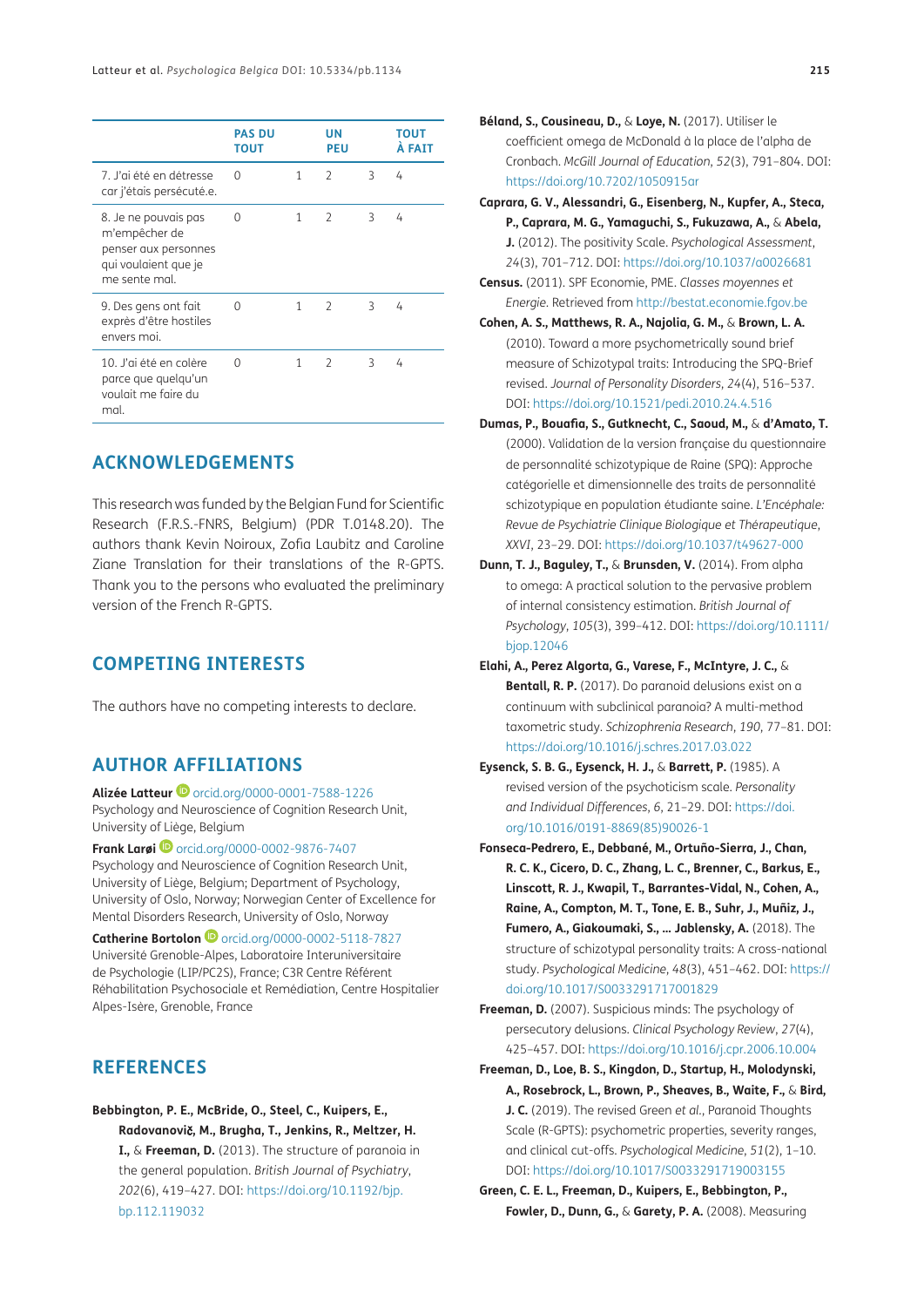|                                                                                                        | <b>PAS DU</b><br><b>TOUT</b> |   | UN<br><b>PEU</b> |   | <b>TOUT</b><br>À FAIT |
|--------------------------------------------------------------------------------------------------------|------------------------------|---|------------------|---|-----------------------|
| 7. J'ai été en détresse<br>car j'étais persécuté.e.                                                    | 0                            | 1 | $\overline{2}$   | 3 | 4                     |
| 8. Je ne pouvais pas<br>m'empêcher de<br>penser aux personnes<br>qui voulaient que je<br>me sente mal. | $\Omega$                     | 1 | $\mathcal{P}$    | 3 | 4                     |
| 9. Des gens ont fait<br>exprès d'être hostiles<br>envers moi.                                          | $\Omega$                     | 1 | $\mathcal{P}$    | 3 | 4                     |
| 10. J'ai été en colère<br>parce que quelqu'un<br>voulait me faire du<br>mal.                           | $\Omega$                     | 1 | $\mathcal{P}$    | 3 | 4                     |

# **ACKNOWLEDGEMENTS**

This research was funded by the Belgian Fund for Scientific Research (F.R.S.-FNRS, Belgium) (PDR T.0148.20). The authors thank Kevin Noiroux, Zofia Laubitz and Caroline Ziane Translation for their translations of the R-GPTS. Thank you to the persons who evaluated the preliminary version of the French R-GPTS.

# **COMPETING INTERESTS**

The authors have no competing interests to declare.

# <span id="page-7-2"></span>**AUTHOR AFFILIATIONS**

**Alizée Latteur <sup>iD</sup>** [orcid.org/0000-0001-7588-1226](https://orcid.org/0000-0001-7588-1226) Psychology and Neuroscience of Cognition Research Unit, University of Liège, Belgium

**Frank Larøi D** [orcid.org/0000-0002-9876-7407](https://orcid.org/0000-0002-9876-7407)

Psychology and Neuroscience of Cognition Research Unit, University of Liège, Belgium; Department of Psychology, University of Oslo, Norway; Norwegian Center of Excellence for Mental Disorders Research, University of Oslo, Norway

**Catherine Bortolon D** [orcid.org/0000-0002-5118-7827](http://orcid.org/0000-0002-5118-7827) Université Grenoble-Alpes, Laboratoire Interuniversitaire de Psychologie (LIP/PC2S), France; C3R Centre Référent Réhabilitation Psychosociale et Remédiation, Centre Hospitalier Alpes-Isère, Grenoble, France

# **REFERENCES**

**Bebbington, P. E., McBride, O., Steel, C., Kuipers, E., Radovanovi**č**, M., Brugha, T., Jenkins, R., Meltzer, H. I.,** & **Freeman, D.** (2013). The structure of paranoia in the general population. *British Journal of Psychiatry*, *202*(6), 419–427. DOI: [https://doi.org/10.1192/bjp.](https://doi.org/10.1192/bjp.bp.112.119032) [bp.112.119032](https://doi.org/10.1192/bjp.bp.112.119032)

- **Béland, S., Cousineau, D.,** & **Loye, N.** (2017). Utiliser le coefficient omega de McDonald à la place de l'alpha de Cronbach. *McGill Journal of Education*, *52*(3), 791–804. DOI: <https://doi.org/10.7202/1050915ar>
- <span id="page-7-6"></span>**Caprara, G. V., Alessandri, G., Eisenberg, N., Kupfer, A., Steca, P., Caprara, M. G., Yamaguchi, S., Fukuzawa, A.,** & **Abela, J.** (2012). The positivity Scale. *Psychological Assessment*, *24*(3), 701–712. DOI: <https://doi.org/10.1037/a0026681>
- <span id="page-7-9"></span>**Census.** (2011). SPF Economie, PME. *Classes moyennes et Energie.* Retrieved from<http://bestat.economie.fgov.be>
- <span id="page-7-5"></span>**Cohen, A. S., Matthews, R. A., Najolia, G. M.,** & **Brown, L. A.** (2010). Toward a more psychometrically sound brief measure of Schizotypal traits: Introducing the SPQ-Brief revised. *Journal of Personality Disorders*, *24*(4), 516–537. DOI: <https://doi.org/10.1521/pedi.2010.24.4.516>
- **Dumas, P., Bouafia, S., Gutknecht, C., Saoud, M.,** & **d'Amato, T.** (2000). Validation de la version française du questionnaire de personnalité schizotypique de Raine (SPQ): Approche catégorielle et dimensionnelle des traits de personnalité schizotypique en population étudiante saine. *L'Encéphale: Revue de Psychiatrie Clinique Biologique et Thérapeutique*, *XXVI*, 23–29. DOI: <https://doi.org/10.1037/t49627-000>
- <span id="page-7-8"></span>**Dunn, T. J., Baguley, T.,** & **Brunsden, V.** (2014). From alpha to omega: A practical solution to the pervasive problem of internal consistency estimation. *British Journal of Psychology*, *105*(3), 399–412. DOI: [https://doi.org/10.1111/](https://doi.org/10.1111/bjop.12046) [bjop.12046](https://doi.org/10.1111/bjop.12046)
- <span id="page-7-3"></span>**Elahi, A., Perez Algorta, G., Varese, F., McIntyre, J. C.,** & **Bentall, R. P.** (2017). Do paranoid delusions exist on a continuum with subclinical paranoia? A multi-method taxometric study. *Schizophrenia Research*, *190*, 77–81. DOI: <https://doi.org/10.1016/j.schres.2017.03.022>
- <span id="page-7-7"></span>**Eysenck, S. B. G., Eysenck, H. J.,** & **Barrett, P.** (1985). A revised version of the psychoticism scale. *Personality and Individual Differences*, *6*, 21–29. DOI: [https://doi.](https://doi.org/10.1016/0191-8869(85)90026-1) [org/10.1016/0191-8869\(85\)90026-1](https://doi.org/10.1016/0191-8869(85)90026-1)
- **Fonseca-Pedrero, E., Debbané, M., Ortuño-Sierra, J., Chan, R. C. K., Cicero, D. C., Zhang, L. C., Brenner, C., Barkus, E., Linscott, R. J., Kwapil, T., Barrantes-Vidal, N., Cohen, A., Raine, A., Compton, M. T., Tone, E. B., Suhr, J., Muñiz, J., Fumero, A., Giakoumaki, S., … Jablensky, A.** (2018). The structure of schizotypal personality traits: A cross-national study. *Psychological Medicine*, *48*(3), 451–462. DOI: [https://](https://doi.org/10.1017/S0033291717001829) [doi.org/10.1017/S0033291717001829](https://doi.org/10.1017/S0033291717001829)

<span id="page-7-0"></span>**Freeman, D.** (2007). Suspicious minds: The psychology of persecutory delusions. *Clinical Psychology Review*, *27*(4), 425–457. DOI:<https://doi.org/10.1016/j.cpr.2006.10.004>

- <span id="page-7-1"></span>**Freeman, D., Loe, B. S., Kingdon, D., Startup, H., Molodynski, A., Rosebrock, L., Brown, P., Sheaves, B., Waite, F.,** & **Bird, J. C.** (2019). The revised Green *et al.*, Paranoid Thoughts Scale (R-GPTS): psychometric properties, severity ranges, and clinical cut-offs. *Psychological Medicine*, *51*(2), 1–10. DOI: <https://doi.org/10.1017/S0033291719003155>
- <span id="page-7-4"></span>**Green, C. E. L., Freeman, D., Kuipers, E., Bebbington, P., Fowler, D., Dunn, G.,** & **Garety, P. A.** (2008). Measuring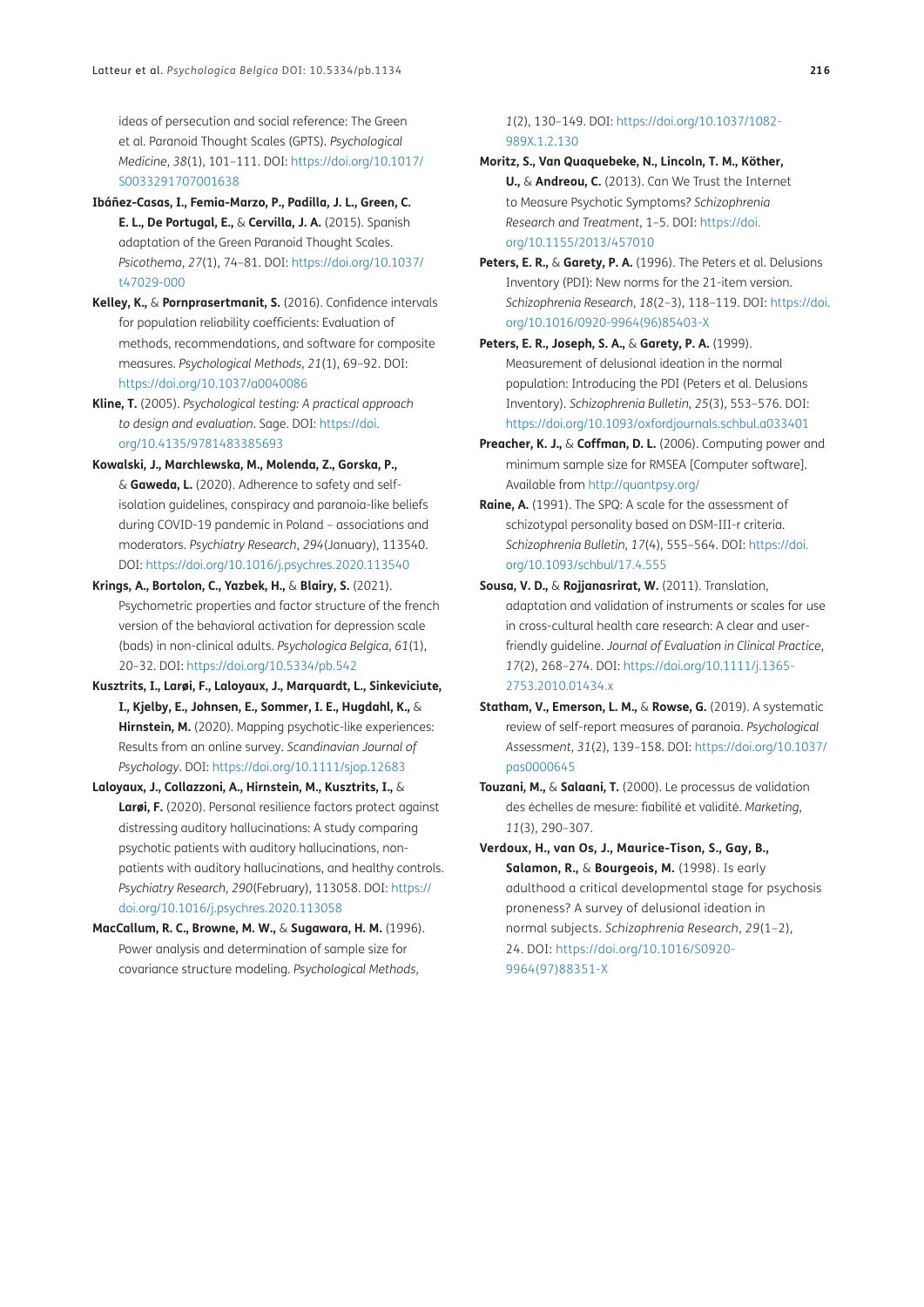ideas of persecution and social reference: The Green et al. Paranoid Thought Scales (GPTS). *Psychological Medicine*, *38*(1), 101–111. DOI: [https://doi.org/10.1017/](https://doi.org/10.1017/S0033291707001638) [S0033291707001638](https://doi.org/10.1017/S0033291707001638)

- **Ibáñez-Casas, I., Femia-Marzo, P., Padilla, J. L., Green, C. E. L., De Portugal, E.,** & **Cervilla, J. A.** (2015). Spanish adaptation of the Green Paranoid Thought Scales. *Psicothema*, *27*(1), 74–81. DOI: [https://doi.org/10.1037/](https://doi.org/10.1037/t47029-000) [t47029-000](https://doi.org/10.1037/t47029-000)
- <span id="page-8-10"></span>**Kelley, K.,** & **Pornprasertmanit, S.** (2016). Confidence intervals for population reliability coefficients: Evaluation of methods, recommendations, and software for composite measures. *Psychological Methods*, *21*(1), 69–92. DOI: <https://doi.org/10.1037/a0040086>
- <span id="page-8-9"></span>**Kline, T.** (2005). *Psychological testing: A practical approach to design and evaluation*. Sage. DOI: [https://doi.](https://doi.org/10.4135/9781483385693) [org/10.4135/9781483385693](https://doi.org/10.4135/9781483385693)
- <span id="page-8-11"></span>**Kowalski, J., Marchlewska, M., Molenda, Z., Gorska, P.,** & **Gaweda, L.** (2020). Adherence to safety and selfisolation guidelines, conspiracy and paranoia-like beliefs during COVID-19 pandemic in Poland – associations and moderators. *Psychiatry Research*, *294*(January), 113540. DOI:<https://doi.org/10.1016/j.psychres.2020.113540>
- <span id="page-8-8"></span>**Krings, A., Bortolon, C., Yazbek, H.,** & **Blairy, S.** (2021). Psychometric properties and factor structure of the french version of the behavioral activation for depression scale (bads) in non-clinical adults. *Psychologica Belgica*, *61*(1), 20–32. DOI:<https://doi.org/10.5334/pb.542>
- **Kusztrits, I., Larøi, F., Laloyaux, J., Marquardt, L., Sinkeviciute, I., Kjelby, E., Johnsen, E., Sommer, I. E., Hugdahl, K.,** & **Hirnstein, M.** (2020). Mapping psychotic-like experiences: Results from an online survey. *Scandinavian Journal of Psychology*. DOI: <https://doi.org/10.1111/sjop.12683>
- **Laloyaux, J., Collazzoni, A., Hirnstein, M., Kusztrits, I.,** & **Larøi, F.** (2020). Personal resilience factors protect against distressing auditory hallucinations: A study comparing psychotic patients with auditory hallucinations, nonpatients with auditory hallucinations, and healthy controls. *Psychiatry Research*, *290*(February), 113058. DOI: [https://](https://doi.org/10.1016/j.psychres.2020.113058) [doi.org/10.1016/j.psychres.2020.113058](https://doi.org/10.1016/j.psychres.2020.113058)
- <span id="page-8-3"></span>**MacCallum, R. C., Browne, M. W.,** & **Sugawara, H. M.** (1996). Power analysis and determination of sample size for covariance structure modeling. *Psychological Methods*,

*1*(2), 130–149. DOI: [https://doi.org/10.1037/1082-](https://doi.org/10.1037/1082-989X.1.2.130) [989X.1.2.130](https://doi.org/10.1037/1082-989X.1.2.130)

- **Moritz, S., Van Quaquebeke, N., Lincoln, T. M., Köther, U.,** & **Andreou, C.** (2013). Can We Trust the Internet to Measure Psychotic Symptoms? *Schizophrenia Research and Treatment*, 1–5. DOI: [https://doi.](https://doi.org/10.1155/2013/457010) [org/10.1155/2013/457010](https://doi.org/10.1155/2013/457010)
- <span id="page-8-5"></span>**Peters, E. R.,** & **Garety, P. A.** (1996). The Peters et al. Delusions Inventory (PDI): New norms for the 21-item version. *Schizophrenia Research*, *18*(2–3), 118–119. DOI: [https://doi.](https://doi.org/10.1016/0920-9964(96)85403-X) [org/10.1016/0920-9964\(96\)85403-X](https://doi.org/10.1016/0920-9964(96)85403-X)
- <span id="page-8-6"></span>**Peters, E. R., Joseph, S. A.,** & **Garety, P. A.** (1999). Measurement of delusional ideation in the normal population: Introducing the PDI (Peters et al. Delusions Inventory). *Schizophrenia Bulletin*, *25*(3), 553–576. DOI: <https://doi.org/10.1093/oxfordjournals.schbul.a033401>
- <span id="page-8-2"></span>**Preacher, K. J.,** & **Coffman, D. L.** (2006). Computing power and minimum sample size for RMSEA [Computer software]. Available from<http://quantpsy.org/>
- <span id="page-8-7"></span>**Raine, A.** (1991). The SPQ: A scale for the assessment of schizotypal personality based on DSM-III-r criteria. *Schizophrenia Bulletin*, *17*(4), 555–564. DOI: [https://doi.](https://doi.org/10.1093/schbul/17.4.555) [org/10.1093/schbul/17.4.555](https://doi.org/10.1093/schbul/17.4.555)
- <span id="page-8-1"></span>**Sousa, V. D.,** & **Rojjanasrirat, W.** (2011). Translation, adaptation and validation of instruments or scales for use in cross-cultural health care research: A clear and userfriendly guideline. *Journal of Evaluation in Clinical Practice*, *17*(2), 268–274. DOI: [https://doi.org/10.1111/j.1365-](https://doi.org/10.1111/j.1365-2753.2010.01434.x) [2753.2010.01434.x](https://doi.org/10.1111/j.1365-2753.2010.01434.x)
- <span id="page-8-0"></span>**Statham, V., Emerson, L. M.,** & **Rowse, G.** (2019). A systematic review of self-report measures of paranoia. *Psychological Assessment*, *31*(2), 139–158. DOI: [https://doi.org/10.1037/](https://doi.org/10.1037/pas0000645) [pas0000645](https://doi.org/10.1037/pas0000645)
- **Touzani, M.,** & **Salaani, T.** (2000). Le processus de validation des échelles de mesure: fiabilité et validité. *Marketing*, *11*(3), 290–307.
- <span id="page-8-4"></span>**Verdoux, H., van Os, J., Maurice-Tison, S., Gay, B., Salamon, R.,** & **Bourgeois, M.** (1998). Is early adulthood a critical developmental stage for psychosis proneness? A survey of delusional ideation in normal subjects. *Schizophrenia Research*, *29*(1–2), 24. DOI: [https://doi.org/10.1016/S0920-](https://doi.org/10.1016/S0920-9964(97)88351-X) [9964\(97\)88351-X](https://doi.org/10.1016/S0920-9964(97)88351-X)